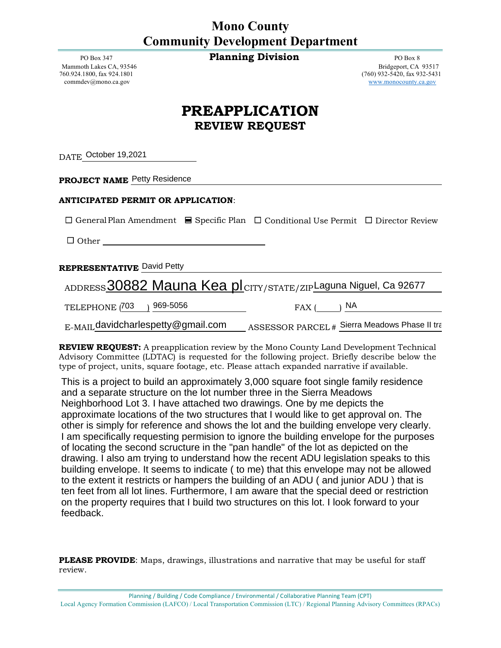## **Mono County Community Development Department**

Mammoth Lakes CA, 93546<br>760.924.1800, fax 924.1801 commdev@mono.ca.gov www.monocounty.ca.gov

PO Box 347 **Planning Division Planning Division PO Box 8 PO Box 8 PO Box 8 PO Box 8 Bridgeport, CA 93517**  $(760)$  932-5420, fax 932-5431

## **PREAPPLICATION REVIEW REQUEST**

DATE October 19,2021

**PROJECT NAME** Petty Residence

## **ANTICIPATED PERMIT OR APPLICATION**:

☐ GeneralPlan Amendment ☐ Specific Plan ☐ Conditional Use Permit ☐ Director Review

☐ Other

**REPRESENTATIVE** David Petty

|                                       | ADDRESS 30882 Mauna Kea pl CITY/STATE/ZIPLaguna Niguel, Ca 92677 |                                               |
|---------------------------------------|------------------------------------------------------------------|-----------------------------------------------|
| TELEPHONE (703) 969-5056              | $FAX$ ( ) $NA$                                                   |                                               |
| $E$ -MAIL davidcharlespetty@gmail.com |                                                                  | ASSESSOR PARCEL # Sierra Meadows Phase II tra |

**REVIEW REQUEST:** A preapplication review by the Mono County Land Development Technical Advisory Committee (LDTAC) is requested for the following project. Briefly describe below the type of project, units, square footage, etc. Please attach expanded narrative if available.

This is a project to build an approximately 3,000 square foot single family residence and a separate structure on the lot number three in the Sierra Meadows Neighborhood Lot 3. I have attached two drawings. One by me depicts the approximate locations of the two structures that I would like to get approval on. The other is simply for reference and shows the lot and the building envelope very clearly. I am specifically requesting permision to ignore the building envelope for the purposes of locating the second scructure in the "pan handle" of the lot as depicted on the drawing. I also am trying to understand how the recent ADU legislation speaks to this building envelope. It seems to indicate ( to me) that this envelope may not be allowed to the extent it restricts or hampers the building of an ADU ( and junior ADU ) that is ten feet from all lot lines. Furthermore, I am aware that the special deed or restriction on the property requires that I build two structures on this lot. I look forward to your feedback.

**PLEASE PROVIDE**: Maps, drawings, illustrations and narrative that may be useful for staff review.